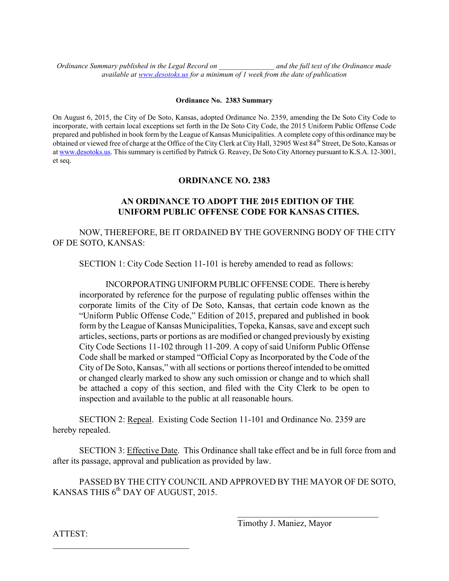*Ordinance Summary published in the Legal Record on \_\_\_\_\_\_\_\_\_\_\_\_\_\_\_ and the full text of the Ordinance made available at [www.desotoks.us](http://www.desotoks.us/) for a minimum of 1 week from the date of publication*

## **Ordinance No. 2383 Summary**

On August 6, 2015, the City of De Soto, Kansas, adopted Ordinance No. 2359, amending the De Soto City Code to incorporate, with certain local exceptions set forth in the De Soto City Code, the 2015 Uniform Public Offense Code prepared and published in book form by the League of Kansas Municipalities. A complete copy of this ordinance may be obtained or viewed free of charge at the Office of the City Clerk at City Hall, 32905 West 84<sup>th</sup> Street, De Soto, Kansas or a[t www.desotoks.us.](http://www.desotoks.us/) This summary is certified by Patrick G. Reavey, De Soto City Attorney pursuant to K.S.A. 12-3001, et seq.

## **ORDINANCE NO. 2383**

## **AN ORDINANCE TO ADOPT THE 2015 EDITION OF THE UNIFORM PUBLIC OFFENSE CODE FOR KANSAS CITIES.**

NOW, THEREFORE, BE IT ORDAINED BY THE GOVERNING BODY OF THE CITY OF DE SOTO, KANSAS:

SECTION 1: City Code Section 11-101 is hereby amended to read as follows:

INCORPORATING UNIFORM PUBLIC OFFENSE CODE. There is hereby incorporated by reference for the purpose of regulating public offenses within the corporate limits of the City of De Soto, Kansas, that certain code known as the "Uniform Public Offense Code," Edition of 2015, prepared and published in book form by the League of Kansas Municipalities, Topeka, Kansas, save and except such articles, sections, parts or portions as are modified or changed previously by existing City Code Sections 11-102 through 11-209. A copy of said Uniform Public Offense Code shall be marked or stamped "Official Copy as Incorporated by the Code of the City of De Soto, Kansas," with all sections or portions thereof intended to be omitted or changed clearly marked to show any such omission or change and to which shall be attached a copy of this section, and filed with the City Clerk to be open to inspection and available to the public at all reasonable hours.

SECTION 2: Repeal. Existing Code Section 11-101 and Ordinance No. 2359 are hereby repealed.

SECTION 3: Effective Date. This Ordinance shall take effect and be in full force from and after its passage, approval and publication as provided by law.

PASSED BY THE CITY COUNCIL AND APPROVED BY THE MAYOR OF DE SOTO, KANSAS THIS  $6^{\text{th}}$  DAY OF AUGUST, 2015.

Timothy J. Maniez, Mayor

 $\mathcal{L}_\text{max}$  , where  $\mathcal{L}_\text{max}$  and  $\mathcal{L}_\text{max}$  and  $\mathcal{L}_\text{max}$ 

ATTEST:

 $\mathcal{L}_\text{max}$  , where  $\mathcal{L}_\text{max}$  and  $\mathcal{L}_\text{max}$  and  $\mathcal{L}_\text{max}$